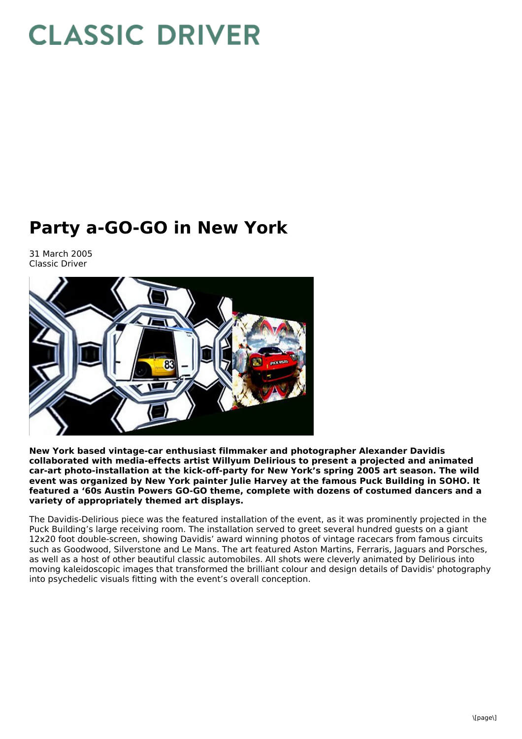## **CLASSIC DRIVER**

## **Party a-GO-GO in New York**

31 March 2005 Classic Driver



**New York based vintage-car enthusiast filmmaker and photographer Alexander Davidis collaborated with media-effects artist Willyum Delirious to present a projected and animated car-art photo-installation at the kick-off-party for New York's spring 2005 art season. The wild event was organized by New York painter Julie Harvey at the famous Puck Building in SOHO. It featured a '60s Austin Powers GO-GO theme, complete with dozens of costumed dancers and a variety of appropriately themed art displays.**

The Davidis-Delirious piece was the featured installation of the event, as it was prominently projected in the Puck Building's large receiving room. The installation served to greet several hundred guests on a giant 12x20 foot double-screen, showing Davidis' award winning photos of vintage racecars from famous circuits such as Goodwood, Silverstone and Le Mans. The art featured Aston Martins, Ferraris, Jaguars and Porsches, as well as a host of other beautiful classic automobiles. All shots were cleverly animated by Delirious into moving kaleidoscopic images that transformed the brilliant colour and design details of Davidis' photography into psychedelic visuals fitting with the event's overall conception.